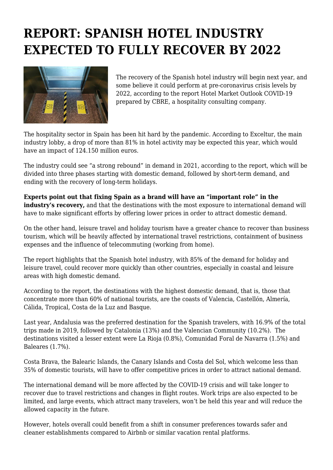## **REPORT: SPANISH HOTEL INDUSTRY EXPECTED TO FULLY RECOVER BY 2022**



The recovery of the Spanish hotel industry will begin next year, and some believe it could perform at pre-coronavirus crisis levels by 2022, according to the report Hotel Market Outlook COVID-19 prepared by CBRE, a hospitality consulting company.

The hospitality sector in Spain has been hit hard by the pandemic. According to Exceltur, the main industry lobby, a drop of more than 81% in hotel activity may be expected this year, which would have an impact of 124.150 million euros.

The industry could see "a strong rebound" in demand in 2021, according to the report, which will be divided into three phases starting with domestic demand, followed by short-term demand, and ending with the recovery of long-term holidays.

**Experts point out that fixing Spain as a brand will have an "important role" in the industry's recovery,** and that the destinations with the most exposure to international demand will have to make significant efforts by offering lower prices in order to attract domestic demand.

On the other hand, leisure travel and holiday tourism have a greater chance to recover than business tourism, which will be heavily affected by international travel restrictions, containment of business expenses and the influence of telecommuting (working from home).

The report highlights that the Spanish hotel industry, with 85% of the demand for holiday and leisure travel, could recover more quickly than other countries, especially in coastal and leisure areas with high domestic demand.

According to the report, the destinations with the highest domestic demand, that is, those that concentrate more than 60% of national tourists, are the coasts of Valencia, Castellón, Almería, Cálida, Tropical, Costa de la Luz and Basque.

Last year, Andalusia was the preferred destination for the Spanish travelers, with 16.9% of the total trips made in 2019, followed by Catalonia (13%) and the Valencian Community (10.2%). The destinations visited a lesser extent were La Rioja (0.8%), Comunidad Foral de Navarra (1.5%) and Baleares (1.7%).

Costa Brava, the Balearic Islands, the Canary Islands and Costa del Sol, which welcome less than 35% of domestic tourists, will have to offer competitive prices in order to attract national demand.

The international demand will be more affected by the COVID-19 crisis and will take longer to recover due to travel restrictions and changes in flight routes. Work trips are also expected to be limited, and large events, which attract many travelers, won't be held this year and will reduce the allowed capacity in the future.

However, hotels overall could benefit from a shift in consumer preferences towards safer and cleaner establishments compared to Airbnb or similar vacation rental platforms.